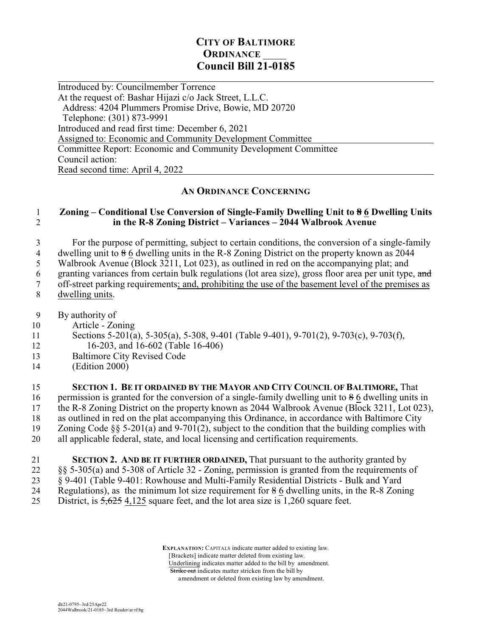# **CITY OF BALTIMORE ORDINANCE Council Bill 21-0185**

 $\overline{a}$ Introduced by: Councilmember Torrence At the request of: Bashar Hijazi c/o Jack Street, L.L.C. Address: 4204 Plummers Promise Drive, Bowie, MD 20720 Telephone: (301) 873-9991 Introduced and read first time: December 6, 2021 Assigned to: Economic and Community Development Committee Committee Report: Economic and Community Development Committee Council action: Read second time: April 4, 2022

## **AN ORDINANCE CONCERNING**

### 1 **Zoning – Conditional Use Conversion of Single-Family Dwelling Unit to 8 6 Dwelling Units** 2 **in the R-8 Zoning District – Variances – 2044 Walbrook Avenue**

3 For the purpose of permitting, subject to certain conditions, the conversion of a single-family

4 dwelling unit to  $\frac{86}{6}$  dwelling units in the R-8 Zoning District on the property known as 2044<br>5 Walbrook Avenue (Block 3211, Lot 023), as outlined in red on the accompanying plat; and Walbrook Avenue (Block 3211, Lot 023), as outlined in red on the accompanying plat; and

6 granting variances from certain bulk regulations (lot area size), gross floor area per unit type, and

7 off-street parking requirements; and, prohibiting the use of the basement level of the premises as

- 8 dwelling units.
- 9 By authority of
- 10 Article Zoning
- 11 Sections 5-201(a), 5-305(a), 5-308, 9-401 (Table 9-401), 9-701(2), 9-703(c), 9-703(f), 12 16-203, and 16-602 (Table 16-406)
- 13 Baltimore City Revised Code
- 14 (Edition 2000)

 **SECTION 1. BE IT ORDAINED BY THE MAYOR AND CITY COUNCIL OF BALTIMORE,** That 16 permission is granted for the conversion of a single-family dwelling unit to  $\frac{1}{6}$  6 dwelling units in the R-8 Zoning District on the property known as 2044 Walbrook Avenue (Block 3211, Lot 023), as outlined in red on the plat accompanying this Ordinance, in accordance with Baltimore City Zoning Code §§ 5-201(a) and 9-701(2), subject to the condition that the building complies with all applicable federal, state, and local licensing and certification requirements.

21 **SECTION 2. AND BE IT FURTHER ORDAINED,** That pursuant to the authority granted by 22 §§ 5-305(a) and 5-308 of Article 32 - Zoning, permission is granted from the requirements of 23 § 9-401 (Table 9-401: Rowhouse and Multi-Family Residential Districts - Bulk and Yard 24 Regulations), as the minimum lot size requirement for  $\frac{1}{6}$  6 dwelling units, in the R-8 Zoning 25 District, is  $5,625$  4,125 square feet, and the lot area size is 1,260 square feet.

> **EXPLANATION:** CAPITALS indicate matter added to existing law. [Brackets] indicate matter deleted from existing law. Underlining indicates matter added to the bill by amendment. Strike out indicates matter stricken from the bill by amendment or deleted from existing law by amendment.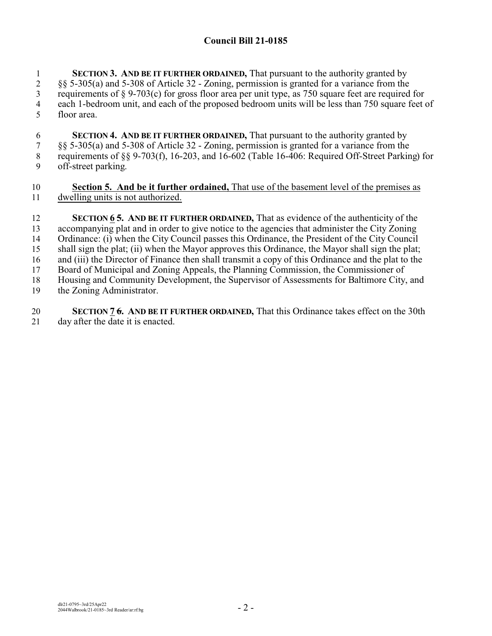## **Council Bill 21-0185**

 **SECTION 3. AND BE IT FURTHER ORDAINED,** That pursuant to the authority granted by §§ 5-305(a) and 5-308 of Article 32 - Zoning, permission is granted for a variance from the requirements of  $\S$  9-703(c) for gross floor area per unit type, as 750 square feet are required for each 1-bedroom unit, and each of the proposed bedroom units will be less than 750 square feet of floor area.

 **SECTION 4. AND BE IT FURTHER ORDAINED,** That pursuant to the authority granted by §§ 5-305(a) and 5-308 of Article 32 - Zoning, permission is granted for a variance from the requirements of §§ 9-703(f), 16-203, and 16-602 (Table 16-406: Required Off-Street Parking) for off-street parking.

### **Section 5. And be it further ordained,** That use of the basement level of the premises as dwelling units is not authorized.

 **SECTION 6 5. AND BE IT FURTHER ORDAINED,** That as evidence of the authenticity of the accompanying plat and in order to give notice to the agencies that administer the City Zoning Ordinance: (i) when the City Council passes this Ordinance, the President of the City Council shall sign the plat; (ii) when the Mayor approves this Ordinance, the Mayor shall sign the plat; and (iii) the Director of Finance then shall transmit a copy of this Ordinance and the plat to the Board of Municipal and Zoning Appeals, the Planning Commission, the Commissioner of Housing and Community Development, the Supervisor of Assessments for Baltimore City, and the Zoning Administrator.

 **SECTION 7 6. AND BE IT FURTHER ORDAINED,** That this Ordinance takes effect on the 30th day after the date it is enacted.